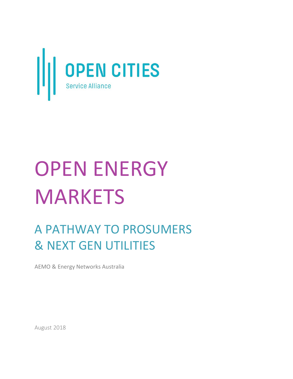

# OPEN ENERGY **MARKETS**

# A PATHWAY TO PROSUMERS & NEXT GEN UTILITIES

AEMO & Energy Networks Australia

August 2018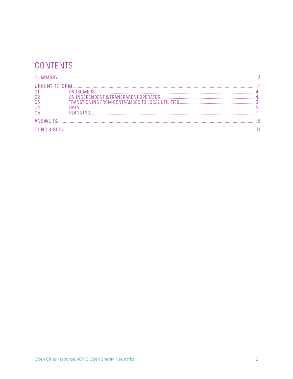# CONTENTS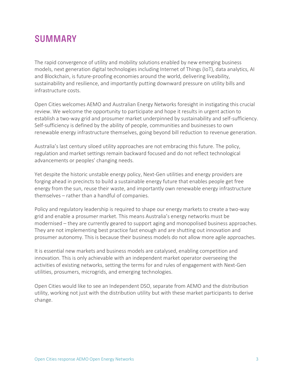## **SUMMARY**

The rapid convergence of utility and mobility solutions enabled by new emerging business models, next generation digital technologies including Internet of Things (IoT), data analytics, AI and Blockchain, is future-proofing economies around the world, delivering liveability, sustainability and resilience, and importantly putting downward pressure on utility bills and infrastructure costs.

Open Cities welcomes AEMO and Australian Energy Networks foresight in instigating this crucial review. We welcome the opportunity to participate and hope it results in urgent action to establish a two-way grid and prosumer market underpinned by sustainability and self-sufficiency. Self-sufficiency is defined by the ability of people, communities and businesses to own renewable energy infrastructure themselves, going beyond bill reduction to revenue generation.

Australia's last century siloed utility approaches are not embracing this future. The policy, regulation and market settings remain backward focused and do not reflect technological advancements or peoples' changing needs.

Yet despite the historic unstable energy policy, Next-Gen utilities and energy providers are forging ahead in precincts to build a sustainable energy future that enables people get free energy from the sun, reuse their waste, and importantly own renewable energy infrastructure themselves – rather than a handful of companies.

Policy and regulatory leadership is required to shape our energy markets to create a two-way grid and enable a prosumer market. This means Australia's energy networks must be modernised – they are currently geared to support aging and monopolised business approaches. They are not implementing best practice fast enough and are shutting out innovation and prosumer autonomy. This is because their business models do not allow more agile approaches.

It is essential new markets and business models are catalysed, enabling competition and innovation. This is only achievable with an independent market operator overseeing the activities of existing networks, setting the terms for and rules of engagement with Next-Gen utilities, prosumers, microgrids, and emerging technologies.

Open Cities would like to see an Independent DSO, separate from AEMO and the distribution utility, working not just with the distribution utility but with these market participants to derive change.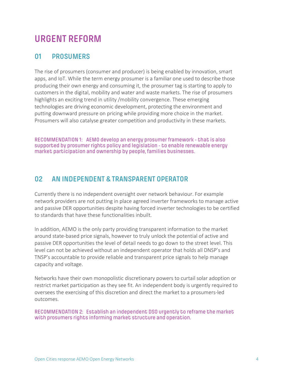# **URGENT REFORM**

#### **01 PROSUMERS**

The rise of prosumers (consumer and producer) is being enabled by innovation, smart apps, and IoT. While the term energy prosumer is a familiar one used to describe those producing their own energy and consuming it, the prosumer tag is starting to apply to customers in the digital, mobility and water and waste markets. The rise of prosumers highlights an exciting trend in utility /mobility convergence. These emerging technologies are driving economic development, protecting the environment and putting downward pressure on pricing while providing more choice in the market. Prosumers will also catalyse greater competition and productivity in these markets.

RECOMMENDATION 1: AEMO develop an energy prosumer framework - that is also supported by prosumer rights policy and legislation - to enable renewable energy market participation and ownership by people, families businesses.

#### **02 AN INDEPENDENT & TRANSPARENT OPERATOR**

Currently there is no independent oversight over network behaviour. For example network providers are not putting in place agreed inverter frameworks to manage active and passive DER opportunities despite having forced inverter technologies to be certified to standards that have these functionalities inbuilt.

In addition, AEMO is the only party providing transparent information to the market around state-based price signals, however to truly unlock the potential of active and passive DER opportunities the level of detail needs to go down to the street level. This level can not be achieved without an independent operator that holds all DNSP's and TNSP's accountable to provide reliable and transparent price signals to help manage capacity and voltage.

Networks have their own monopolistic discretionary powers to curtail solar adoption or restrict market participation as they see fit. An independent body is urgently required to oversees the exercising of this discretion and direct the market to a prosumers-led outcomes.

RECOMMENDATION 2: Establish an independent DSO urgently to reframe the market with prosumers rights informing market structure and operation.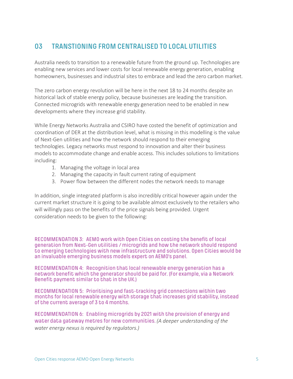### **03 TRANSTIONING FROM CENTRALISED TO LOCAL UTILITIES**

Australia needs to transition to a renewable future from the ground up. Technologies are enabling new services and lower costs for local renewable energy generation, enabling homeowners, businesses and industrial sites to embrace and lead the zero carbon market.

The zero carbon energy revolution will be here in the next 18 to 24 months despite an historical lack of stable energy policy, because businesses are leading the transition. Connected microgrids with renewable energy generation need to be enabled in new developments where they increase grid stability.

While Energy Networks Australia and CSIRO have costed the benefit of optimization and coordination of DER at the distribution level, what is missing in this modelling is the value of Next-Gen utilities and how the network should respond to their emerging technologies. Legacy networks must respond to innovation and alter their business models to accommodate change and enable access. This includes solutions to limitations including:

- 1. Managing the voltage in local area
- 2. Managing the capacity in fault current rating of equipment
- 3. Power flow between the different nodes the network needs to manage

In addition, single integrated platform is also incredibly critical however again under the current market structure it is going to be available almost exclusively to the retailers who will willingly pass on the benefits of the price signals being provided. Urgent consideration needs to be given to the following:

RECOMMENDATION 3: AEMO work with Open Cities on costing the benefit of local generation from Next-Gen utilities / microgrids and how the network should respond to emerging technologies with new infrastructure and solutions. Open Cities would be an invaluable emerging business models expert on AEMO's panel.

RECOMMENDATION 4: Recognition that local renewable energy generation has a network benefit which the generator should be paid for. (For example, via a Network Benefit payment similar to that in the UK.)

RECOMMENDATION 5: Prioritising and fast-tracking grid connections within two months for local renewable energy with storage that increases grid stability, instead of the current average of 3 to 4 months.

RECOMMENDATION 6: Enabling microgrids by 2021 with the provision of energy and water data gateway metres for new communities. *(A deeper understanding of the water energy nexus is required by regulators.)*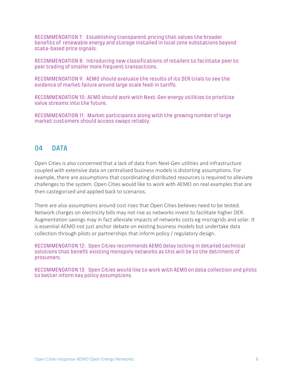RECOMMENDATION 7: Establishing transparent pricing that values the broader benefits of renewable energy and storage installed in local zone substations beyond state-based price signals.

RECOMMENDATION 8: Introducing new classifications of retailers to facilitate peer to peer trading of smaller more frequent transactions.

RECOMMENDATION 9: AEMO should evaluate the results of its DER trials to see the evidence of market failure around large scale feed-in tariffs.

RECOMMENDATION 10: AEMO should work with Next-Gen energy utilities to prioritise value streams into the future.

RECOMMENDATION 11: Market participants along with the growing number of large market customers should access swaps reliably.

#### **04 DATA**

Open Cities is also concerned that a lack of data from Next-Gen utilities and infrastructure coupled with extensive data on centralised business models is distorting assumptions. For example, there are assumptions that coordinating distributed resources is required to alleviate challenges to the system. Open Cities would like to work with AEMO on real examples that are then castegorised and applied back to scenarios.

There are also assumptions around cost rises that Open Cities believes need to be tested. Network charges on electricity bills may not rise as networks invest to facilitate higher DER. Augmentation savings may in fact alleviate impacts of networks costs eg microgrids and solar. It is essential AEMO not just anchor debate on existing business models but undertake data collection through pilots or partnerships that inform policy / regulatory design.

RECOMMENDATION 12: Open Cities recommends AEMO delay locking in detailed technical solutions that benefit existing monopoly networks as this will be to the detriment of prosumers.

RECOMMENDATION 13: Open Cities would like to work with AEMO on data collection and pilots to better inform key policy assumptions.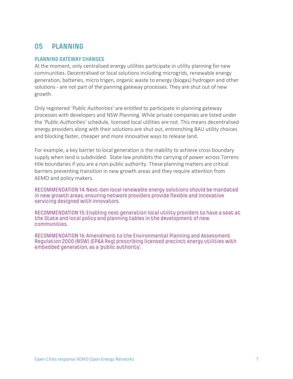#### **05 PLANNING**

#### **PLANNING GATEWAY CHANGES**

At the moment, only centralised energy utilities participate in utility planning for new communities. Decentralised or local solutions including microgrids, renewable energy generation, batteries, micro trigen, organic waste to energy (biogas) hydrogen and other solutions - are not part of the panning gateway processes. They are shut out of new growth.

Only registered *'Public Authorities'* are entitled to participate in planning gateway processes with developers and NSW Planning. While private companies are listed under the *'Public Authorities'* schedule, licensed local utilities are not. This means decentralised energy providers along with their solutions are shut out, entrenching BAU utility choices and blocking faster, cheaper and more innovative ways to release land.

For example, a key barrier to local generation is the inability to achieve cross boundary supply when land is subdivided. State law prohibits the carrying of power across Torrens title boundaries if you are a non-public authority. These planning matters are critical barriers preventing transition in new growth areas and they require attention from AEMO and policy makers.

RECOMMENDATION 14:Next-Gen local renewable energy solutions should be mandated in new growth areas, ensuring network providers provide flexible and innovative servicing designed with innovators.

RECOMMENDATION 15:Enabling next generation local utility providers to have a seat at the State and local policy and planning tables in the development of new communities.

RECOMMENDATION 16: Amendment to the Environmental Planning and Assessment Regulation 2000 (NSW) (EP&A Reg) prescribing licensed precinct energy utilities with embedded generation, as a 'public authority'.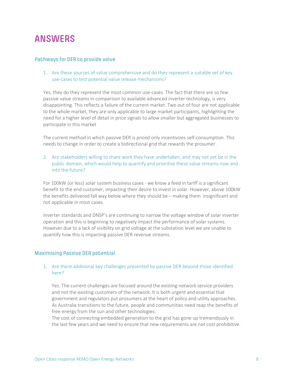# **ANSWERS**

#### Pathways for DER to provide value

1. Are these sources of value comprehensive and do they represent a suitable set of key use-cases to test potential value release mechanisms?

Yes, they do they represent the most common use-cases. The fact that there are so few passive value streams in comparison to available advanced inverter technology, is very disappointing. This reflects a failure of the current market. Two out of four are not applicable to the whole market, they are only applicable to large market participants, highlighting the need for a higher level of detail in price signals to allow smaller but aggregated businesses to participate in this market

The current method in which passive DER is priced only incentivizes self-consumption. This needs to change in order to create a bidirectional grid that rewards the prosumer.

2. Are stakeholders willing to share work they have undertaken, and may not yet be in the public domain, which would help to quantify and prioritise these value streams now and into the future?

For 100kW (or less) solar system business cases - we know a feed in tariff is a significant benefit to the end customer, impacting their desire to invest in solar. However, above 100kW the benefits delivered fall way below where they should be – making them insignificant and not applicable in most cases.

Inverter standards and DNSP's are continuing to narrow the voltage window of solar inverter operation and this is beginning to negatively impact the performance of solar systems. However due to a lack of visibility on grid voltage at the substation level we are unable to quantify how this is impacting passive DER revenue streams.

#### Maximising Passive DER potential

#### 1. Are there additional key challenges presented by passive DER beyond those identified here?

Yes. The current challenges are focused around the existing network service providers and not the existing customers of the network. It is both urgent and essential that government and regulators put prosumers at the heart of policy and utility approaches. As Australia transitions to the future, people and communities need reap the benefits of free energy from the sun and other technologies.

The cost of connecting embedded generation to the grid has gone up tremendously in the last few years and we need to ensure that new requirements are not cost prohibitive.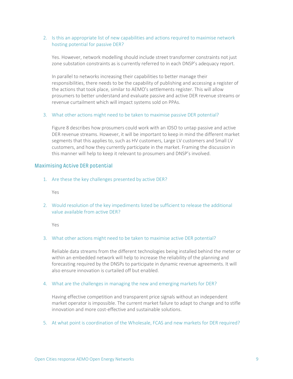#### 2. Is this an appropriate list of new capabilities and actions required to maximise network hosting potential for passive DER?

Yes. However, network modelling should include street transformer constraints not just zone substation constraints as is currently referred to in each DNSP's adequacy report.

In parallel to networks increasing their capabilities to better manage their responsibilities, there needs to be the capability of publishing and accessing a register of the actions that took place, similar to AEMO's settlements register. This will allow prosumers to better understand and evaluate passive and active DER revenue streams or revenue curtailment which will impact systems sold on PPAs.

#### 3. What other actions might need to be taken to maximise passive DER potential?

Figure 8 describes how prosumers could work with an IDSO to untap passive and active DER revenue streams. However, it will be important to keep in mind the different market segments that this applies to, such as HV customers, Large LV customers and Small LV customers, and how they currently participate in the market. Framing the discussion in this manner will help to keep it relevant to prosumers and DNSP's involved.

#### Maximising Active DER potential

1. Are these the key challenges presented by active DER?

Yes

2. Would resolution of the key impediments listed be sufficient to release the additional value available from active DER?

Yes

#### 3. What other actions might need to be taken to maximise active DER potential?

Reliable data streams from the different technologies being installed behind the meter or within an embedded network will help to increase the reliability of the planning and forecasting required by the DNSPs to participate in dynamic revenue agreements. It will also ensure innovation is curtailed off but enabled.

#### 4. What are the challenges in managing the new and emerging markets for DER?

Having effective competition and transparent price signals without an independent market operator is impossible. The current market failure to adapt to change and to stifle innovation and more cost-effective and sustainable solutions.

5. At what point is coordination of the Wholesale, FCAS and new markets for DER required?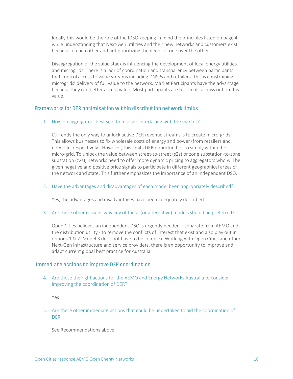Ideally this would be the role of the IDSO keeping in mind the principles listed on page 4 while understanding that Next-Gen utilities and their new networks and customers exist because of each other and not prioritizing the needs of one over the other.

Disaggregation of the value stack is influencing the development of local energy utilities and microgrids. There is a lack of coordination and transparency between participants that control access to value streams including DNSPs and retailers. This is constraining microgrids' delivery of full value to the network. Market Participants have the advantage because they can better access value. Most participants are too small so miss out on this value.

#### Frameworks for DER optimisation within distribution network limits

#### 1. How do aggregators best see themselves interfacing with the market?

Currently the only way to unlock active DER revenue streams is to create micro-grids. This allows businesses to fix wholesale costs of energy and power (from retailers and networks respectively). However, this limits DER opportunities to simply within the micro-grid. To unlock the value between street-to-street (s2s) or zone substation-to-zone substation (z2z), networks need to offer more dynamic pricing to aggregators who will be given negative and positive price signals to participate in different geographical areas of the network and state. This further emphasizes the importance of an independent DSO.

#### 2. Have the advantages and disadvantages of each model been appropriately described?

Yes, the advantages and disadvantages have been adequately described.

#### 3. Are there other reasons why any of these (or alternative) models should be preferred?

Open Cities believes an independent DSO is urgently needed – separate from AEMO and the distribution utility - to remove the conflicts of interest that exist and also play out in options 1 & 2. Model 3 does not have to be complex. Working with Open Cities and other Next-Gen infrastructure and service providers, there is an opportunity to improve and adapt current global best practice for Australia.

#### Immediate actions to improve DER coordination

4. Are these the right actions for the AEMO and Energy Networks Australia to consider improving the coordination of DER?

Yes

5. Are there other immediate actions that could be undertaken to aid the coordination of DER

See Recommendations above.